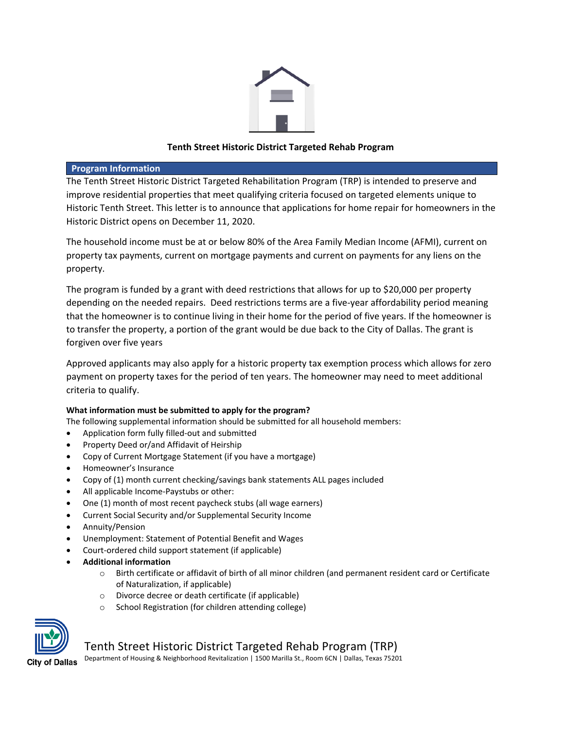

## **Tenth Street Historic District Targeted Rehab Program**

### **Program Information**

The Tenth Street Historic District Targeted Rehabilitation Program (TRP) is intended to preserve and improve residential properties that meet qualifying criteria focused on targeted elements unique to Historic Tenth Street. This letter is to announce that applications for home repair for homeowners in the Historic District opens on December 11, 2020.

The household income must be at or below 80% of the Area Family Median Income (AFMI), current on property tax payments, current on mortgage payments and current on payments for any liens on the property.

The program is funded by a grant with deed restrictions that allows for up to \$20,000 per property depending on the needed repairs. Deed restrictions terms are a five-year affordability period meaning that the homeowner is to continue living in their home for the period of five years. If the homeowner is to transfer the property, a portion of the grant would be due back to the City of Dallas. The grant is forgiven over five years

Approved applicants may also apply for a historic property tax exemption process which allows for zero payment on property taxes for the period of ten years. The homeowner may need to meet additional criteria to qualify.

## **What information must be submitted to apply for the program?**

The following supplemental information should be submitted for all household members:

- Application form fully filled-out and submitted
- Property Deed or/and Affidavit of Heirship
- Copy of Current Mortgage Statement (if you have a mortgage)
- Homeowner's Insurance
- Copy of (1) month current checking/savings bank statements ALL pages included
- All applicable Income-Paystubs or other:
- One (1) month of most recent paycheck stubs (all wage earners)
- Current Social Security and/or Supplemental Security Income
- Annuity/Pension
- Unemployment: Statement of Potential Benefit and Wages
- Court-ordered child support statement (if applicable)
- **Additional information**
	- o Birth certificate or affidavit of birth of all minor children (and permanent resident card or Certificate of Naturalization, if applicable)
	- o Divorce decree or death certificate (if applicable)
	- o School Registration (for children attending college)



# Tenth Street Historic District Targeted Rehab Program (TRP)

Department of Housing & Neighborhood Revitalization | 1500 Marilla St., Room 6CN | Dallas, Texas 75201